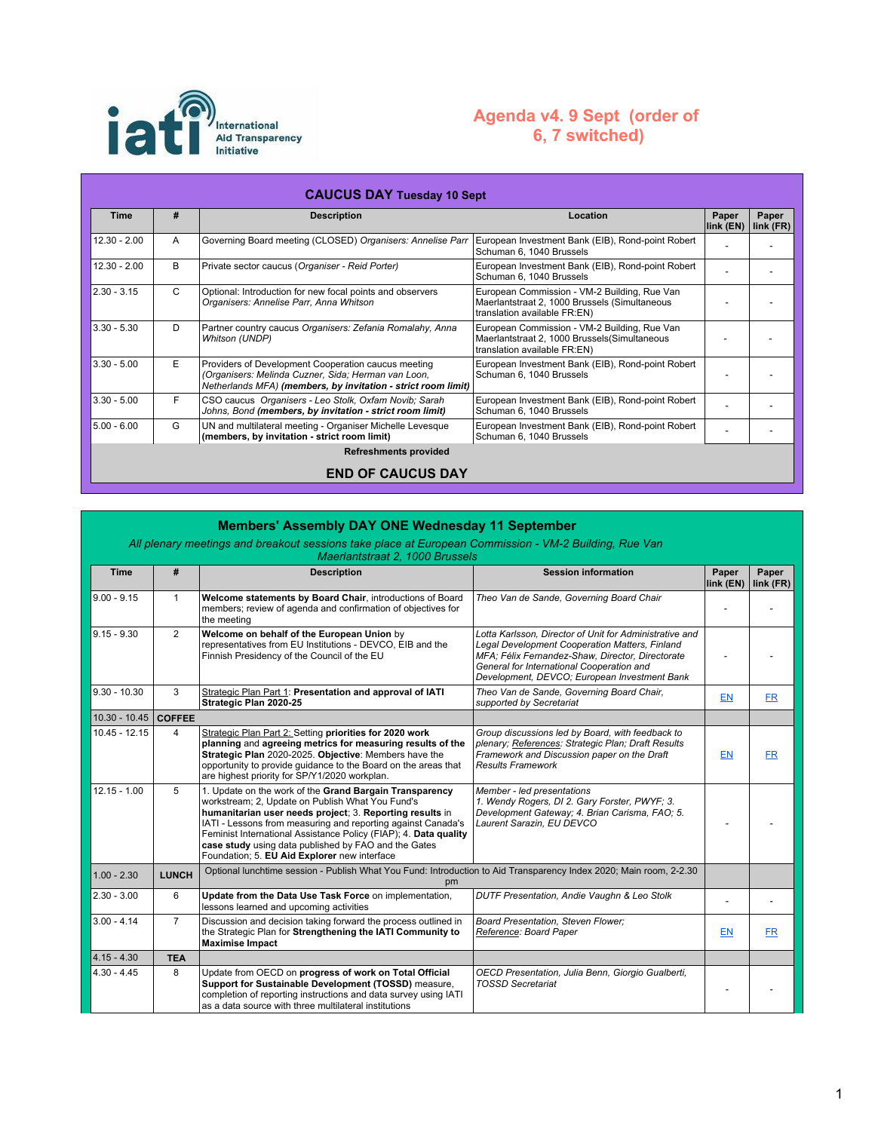

## **Agenda v4. 9 Sept (order of 6, 7 switched)**

| <b>CAUCUS DAY Tuesday 10 Sept</b> |              |                                                                                                                                                                             |                                                                                                                               |                    |                      |  |
|-----------------------------------|--------------|-----------------------------------------------------------------------------------------------------------------------------------------------------------------------------|-------------------------------------------------------------------------------------------------------------------------------|--------------------|----------------------|--|
| <b>Time</b>                       | #            | <b>Description</b>                                                                                                                                                          | Location                                                                                                                      | Paper<br>link (EN) | Paper<br>$link$ (FR) |  |
| $12.30 - 2.00$                    | A            | Governing Board meeting (CLOSED) Organisers: Annelise Parr                                                                                                                  | European Investment Bank (EIB), Rond-point Robert<br>Schuman 6, 1040 Brussels                                                 |                    |                      |  |
| $12.30 - 2.00$                    | B            | Private sector caucus (Organiser - Reid Porter)                                                                                                                             | European Investment Bank (EIB), Rond-point Robert<br>Schuman 6, 1040 Brussels                                                 |                    |                      |  |
| $2.30 - 3.15$                     | $\mathsf{C}$ | Optional: Introduction for new focal points and observers<br>Organisers: Annelise Parr, Anna Whitson                                                                        | European Commission - VM-2 Building, Rue Van<br>Maerlantstraat 2, 1000 Brussels (Simultaneous<br>translation available FR:EN) |                    |                      |  |
| $3.30 - 5.30$                     | D            | Partner country caucus Organisers: Zefania Romalahy, Anna<br><b>Whitson (UNDP)</b>                                                                                          | European Commission - VM-2 Building, Rue Van<br>Maerlantstraat 2, 1000 Brussels (Simultaneous<br>translation available FR:EN) |                    |                      |  |
| $3.30 - 5.00$                     | E            | Providers of Development Cooperation caucus meeting<br>(Organisers: Melinda Cuzner, Sida; Herman van Loon,<br>Netherlands MFA) (members, by invitation - strict room limit) | European Investment Bank (EIB), Rond-point Robert<br>Schuman 6, 1040 Brussels                                                 |                    |                      |  |
| $3.30 - 5.00$                     | F            | CSO caucus Organisers - Leo Stolk, Oxfam Novib; Sarah<br>Johns, Bond (members, by invitation - strict room limit)                                                           | European Investment Bank (EIB), Rond-point Robert<br>Schuman 6, 1040 Brussels                                                 |                    |                      |  |
| $5.00 - 6.00$                     | G            | UN and multilateral meeting - Organiser Michelle Levesque<br>(members, by invitation - strict room limit)                                                                   | European Investment Bank (EIB), Rond-point Robert<br>Schuman 6, 1040 Brussels                                                 |                    |                      |  |
| <b>Refreshments provided</b>      |              |                                                                                                                                                                             |                                                                                                                               |                    |                      |  |
| <b>END OF CAUCUS DAY</b>          |              |                                                                                                                                                                             |                                                                                                                               |                    |                      |  |

## **Members' Assembly DAY ONE Wednesday**

| <b>Time</b>            | #              | <b>Description</b>                                                                                                                                                                                                                                                                                                                                                                                                  | <b>Session information</b>                                                                                                                                                                                                                                 | Paper<br>link (EN) | Paper<br>$link$ (FR) |
|------------------------|----------------|---------------------------------------------------------------------------------------------------------------------------------------------------------------------------------------------------------------------------------------------------------------------------------------------------------------------------------------------------------------------------------------------------------------------|------------------------------------------------------------------------------------------------------------------------------------------------------------------------------------------------------------------------------------------------------------|--------------------|----------------------|
| $9.00 - 9.15$          | $\mathbf{1}$   | Welcome statements by Board Chair, introductions of Board<br>members; review of agenda and confirmation of objectives for<br>the meeting                                                                                                                                                                                                                                                                            | Theo Van de Sande, Governing Board Chair                                                                                                                                                                                                                   |                    |                      |
| $9.15 - 9.30$          | $\overline{2}$ | Welcome on behalf of the European Union by<br>representatives from EU Institutions - DEVCO, EIB and the<br>Finnish Presidency of the Council of the EU                                                                                                                                                                                                                                                              | Lotta Karlsson, Director of Unit for Administrative and<br>Legal Development Cooperation Matters, Finland<br>MFA; Félix Fernandez-Shaw, Director, Directorate<br>General for International Cooperation and<br>Development, DEVCO; European Investment Bank |                    |                      |
| $9.30 - 10.30$         | 3              | Strategic Plan Part 1: Presentation and approval of IATI<br>Strategic Plan 2020-25                                                                                                                                                                                                                                                                                                                                  | Theo Van de Sande, Governing Board Chair,<br>supported by Secretariat                                                                                                                                                                                      | <b>EN</b>          | FR.                  |
| 10.30 - 10.45   COFFEE |                |                                                                                                                                                                                                                                                                                                                                                                                                                     |                                                                                                                                                                                                                                                            |                    |                      |
| $10.45 - 12.15$        | $\overline{4}$ | Strategic Plan Part 2: Setting priorities for 2020 work<br>planning and agreeing metrics for measuring results of the<br>Strategic Plan 2020-2025. Objective: Members have the<br>opportunity to provide guidance to the Board on the areas that<br>are highest priority for SP/Y1/2020 workplan.                                                                                                                   | Group discussions led by Board, with feedback to<br>plenary; References: Strategic Plan; Draft Results<br>Framework and Discussion paper on the Draft<br><b>Results Framework</b>                                                                          | <b>EN</b>          | <b>FR</b>            |
| $12.15 - 1.00$         | 5              | 1. Update on the work of the Grand Bargain Transparency<br>workstream; 2, Update on Publish What You Fund's<br>humanitarian user needs project; 3. Reporting results in<br>IATI - Lessons from measuring and reporting against Canada's<br>Feminist International Assistance Policy (FIAP); 4. Data quality<br>case study using data published by FAO and the Gates<br>Foundation; 5. EU Aid Explorer new interface | Member - led presentations<br>1. Wendy Rogers, DI 2. Gary Forster, PWYF; 3.<br>Development Gateway; 4. Brian Carisma, FAO; 5.<br>Laurent Sarazin, EU DEVCO                                                                                                 |                    |                      |
| $1.00 - 2.30$          | <b>LUNCH</b>   | Optional lunchtime session - Publish What You Fund: Introduction to Aid Transparency Index 2020; Main room, 2-2.30<br>pm                                                                                                                                                                                                                                                                                            |                                                                                                                                                                                                                                                            |                    |                      |
| $2.30 - 3.00$          | 6              | Update from the Data Use Task Force on implementation,<br>lessons learned and upcoming activities                                                                                                                                                                                                                                                                                                                   | DUTF Presentation, Andie Vaughn & Leo Stolk                                                                                                                                                                                                                |                    |                      |
| $3.00 - 4.14$          | $\overline{7}$ | Discussion and decision taking forward the process outlined in<br>the Strategic Plan for Strengthening the IATI Community to<br><b>Maximise Impact</b>                                                                                                                                                                                                                                                              | Board Presentation, Steven Flower;<br>Reference: Board Paper                                                                                                                                                                                               | <b>EN</b>          | <b>FR</b>            |
| $4.15 - 4.30$          | <b>TEA</b>     |                                                                                                                                                                                                                                                                                                                                                                                                                     |                                                                                                                                                                                                                                                            |                    |                      |
| $4.30 - 4.45$          | 8              | Update from OECD on progress of work on Total Official<br>Support for Sustainable Development (TOSSD) measure,<br>completion of reporting instructions and data survey using IATI<br>as a data source with three multilateral institutions                                                                                                                                                                          | OECD Presentation, Julia Benn, Giorgio Gualberti,<br><b>TOSSD Secretariat</b>                                                                                                                                                                              |                    |                      |